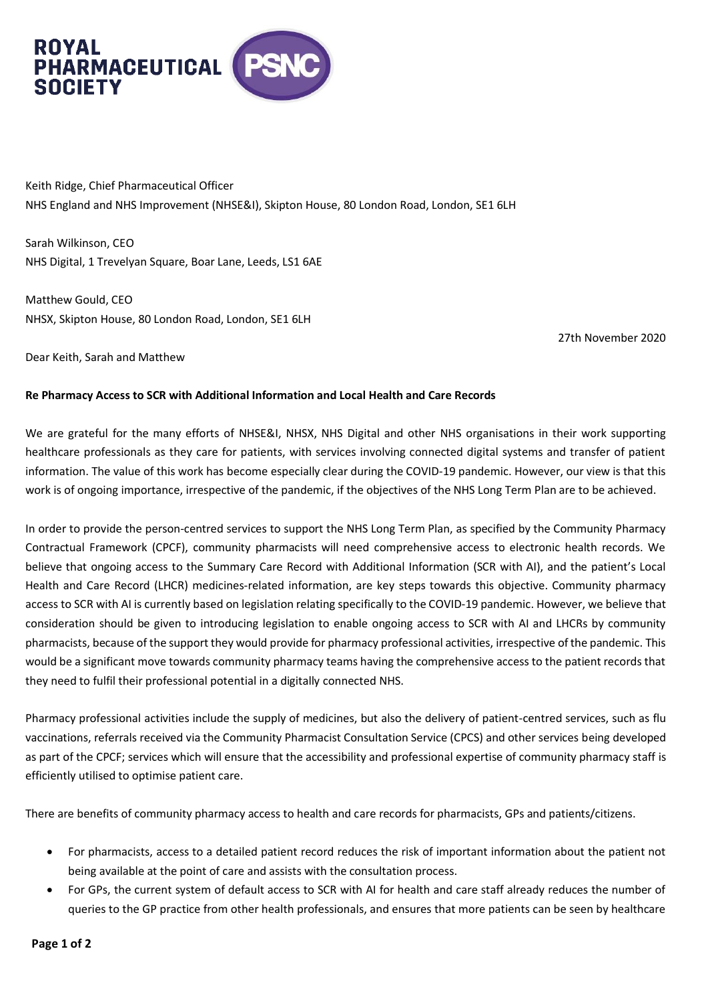

Keith Ridge, Chief Pharmaceutical Officer NHS England and NHS Improvement (NHSE&I), Skipton House, 80 London Road, London, SE1 6LH

Sarah Wilkinson, CEO NHS Digital, 1 Trevelyan Square, Boar Lane, Leeds, LS1 6AE

Matthew Gould, CEO NHSX, Skipton House, 80 London Road, London, SE1 6LH

27th November 2020

Dear Keith, Sarah and Matthew

## **Re Pharmacy Access to SCR with Additional Information and Local Health and Care Records**

We are grateful for the many efforts of NHSE&I, NHSX, NHS Digital and other NHS organisations in their work supporting healthcare professionals as they care for patients, with services involving connected digital systems and transfer of patient information. The value of this work has become especially clear during the COVID-19 pandemic. However, our view is that this work is of ongoing importance, irrespective of the pandemic, if the objectives of the NHS Long Term Plan are to be achieved.

In order to provide the person-centred services to support the NHS Long Term Plan, as specified by the Community Pharmacy Contractual Framework (CPCF), community pharmacists will need comprehensive access to electronic health records. We believe that ongoing access to the Summary Care Record with Additional Information (SCR with AI), and the patient's Local Health and Care Record (LHCR) medicines-related information, are key steps towards this objective. Community pharmacy access to SCR with AI is currently based on legislation relating specifically to the COVID-19 pandemic. However, we believe that consideration should be given to introducing legislation to enable ongoing access to SCR with AI and LHCRs by community pharmacists, because of the support they would provide for pharmacy professional activities, irrespective of the pandemic. This would be a significant move towards community pharmacy teams having the comprehensive access to the patient records that they need to fulfil their professional potential in a digitally connected NHS.

Pharmacy professional activities include the supply of medicines, but also the delivery of patient-centred services, such as flu vaccinations, referrals received via the Community Pharmacist Consultation Service (CPCS) and other services being developed as part of the CPCF; services which will ensure that the accessibility and professional expertise of community pharmacy staff is efficiently utilised to optimise patient care.

There are benefits of community pharmacy access to health and care records for pharmacists, GPs and patients/citizens.

- For pharmacists, access to a detailed patient record reduces the risk of important information about the patient not being available at the point of care and assists with the consultation process.
- For GPs, the current system of default access to SCR with AI for health and care staff already reduces the number of queries to the GP practice from other health professionals, and ensures that more patients can be seen by healthcare